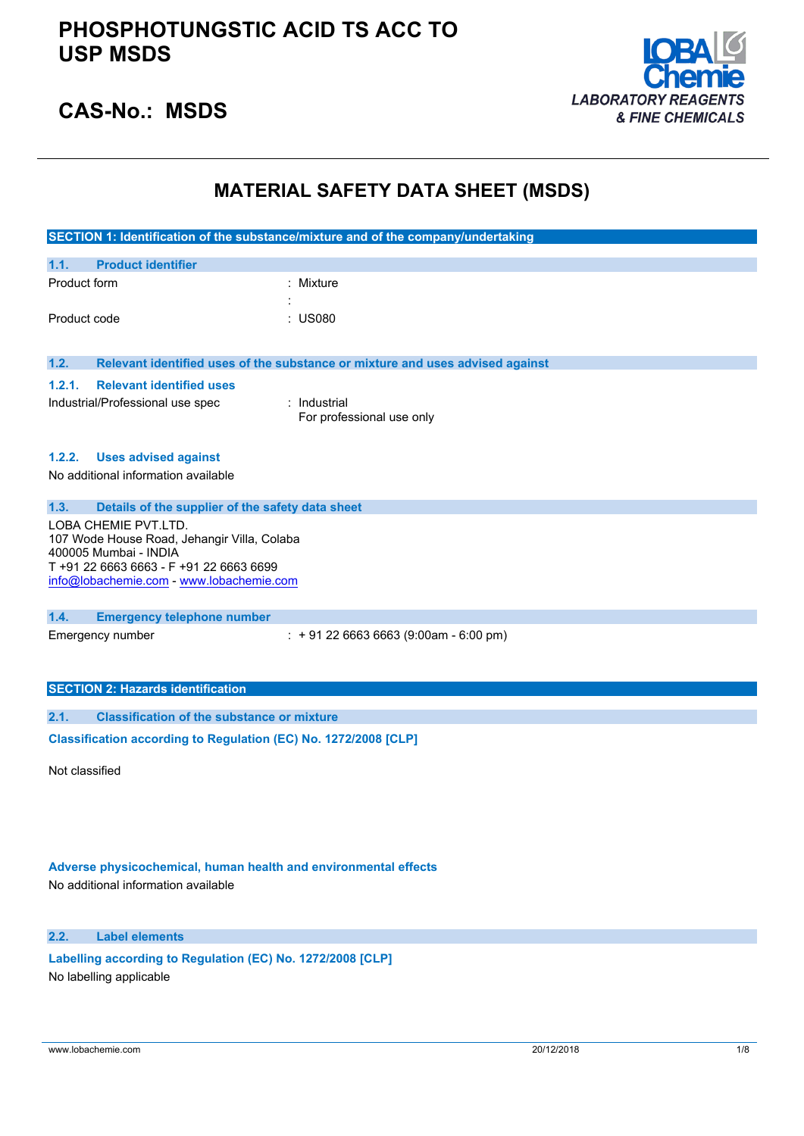

## **CAS-No.: MSDS**

## **MATERIAL SAFETY DATA SHEET (MSDS)**

|              |                                                                      | SECTION 1: Identification of the substance/mixture and of the company/undertaking |
|--------------|----------------------------------------------------------------------|-----------------------------------------------------------------------------------|
| 1.1.         | <b>Product identifier</b>                                            |                                                                                   |
| Product form |                                                                      | : Mixture                                                                         |
|              |                                                                      |                                                                                   |
| Product code |                                                                      | <b>US080</b>                                                                      |
|              |                                                                      |                                                                                   |
| 1.2.         |                                                                      | Relevant identified uses of the substance or mixture and uses advised against     |
| 1.2.1.       | <b>Relevant identified uses</b>                                      |                                                                                   |
|              | Industrial/Professional use spec                                     | : Industrial                                                                      |
|              |                                                                      | For professional use only                                                         |
|              |                                                                      |                                                                                   |
| 1.2.2.       | <b>Uses advised against</b>                                          |                                                                                   |
|              | No additional information available                                  |                                                                                   |
|              |                                                                      |                                                                                   |
| 1.3.         | Details of the supplier of the safety data sheet                     |                                                                                   |
|              | LOBA CHEMIE PVT.LTD.                                                 |                                                                                   |
|              | 107 Wode House Road, Jehangir Villa, Colaba<br>400005 Mumbai - INDIA |                                                                                   |
|              | T +91 22 6663 6663 - F +91 22 6663 6699                              |                                                                                   |
|              | info@lobachemie.com - www.lobachemie.com                             |                                                                                   |
|              |                                                                      |                                                                                   |
| 1.4.         | <b>Emergency telephone number</b>                                    |                                                                                   |
|              | Emergency number                                                     | $: +912266636663(9:00am - 6:00 pm)$                                               |
|              |                                                                      |                                                                                   |
|              |                                                                      |                                                                                   |
|              | <b>SECTION 2: Hazards identification</b>                             |                                                                                   |
| 2.1.         | <b>Classification of the substance or mixture</b>                    |                                                                                   |
|              | Classification according to Regulation (EC) No. 1272/2008 [CLP]      |                                                                                   |

Not classified

## **Adverse physicochemical, human health and environmental effects**

No additional information available

## **2.2. Label elements**

**Labelling according to** Regulation (EC) No. 1272/2008 [CLP] No labelling applicable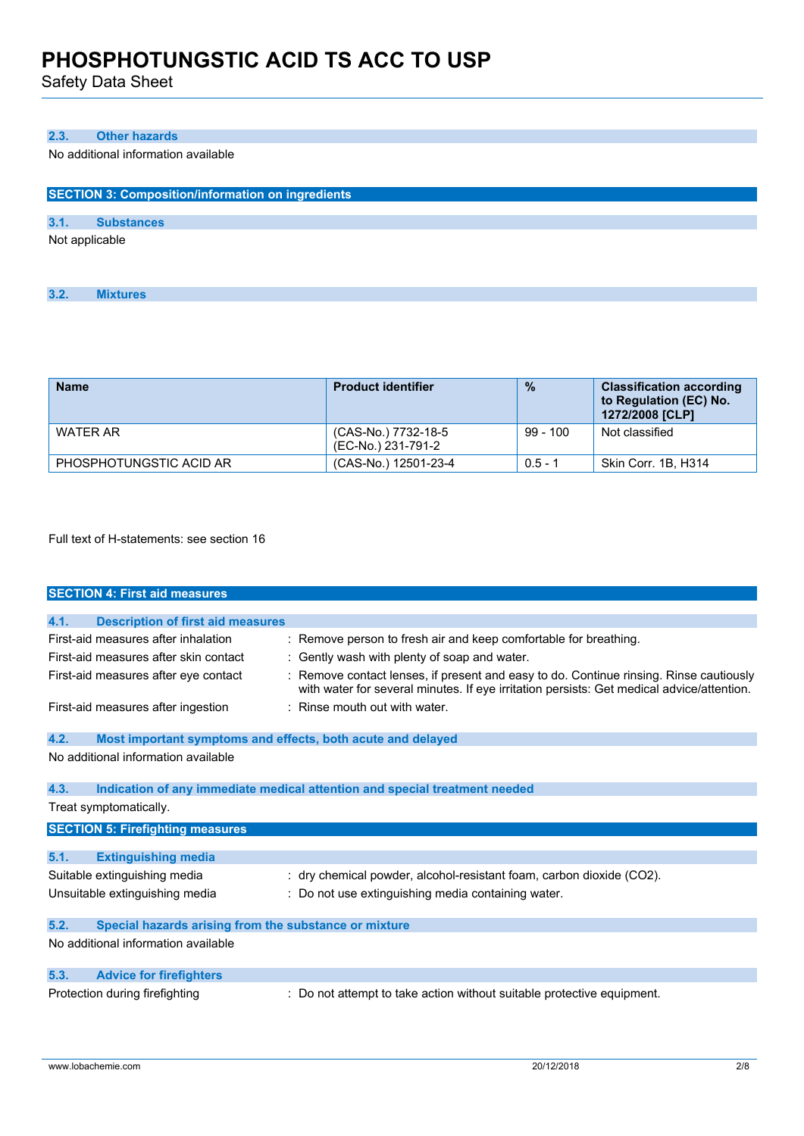Safety Data Sheet

## **2.3. Other hazards**

No additional information available

| <b>SECTION 3: Composition/information on ingredients</b> |                   |  |
|----------------------------------------------------------|-------------------|--|
|                                                          |                   |  |
| 3.1.                                                     | <b>Substances</b> |  |
| Not applicable                                           |                   |  |

| <b>Name</b>             | <b>Product identifier</b>                 | $\frac{0}{0}$ | <b>Classification according</b><br>to Regulation (EC) No.<br>1272/2008 [CLP] |
|-------------------------|-------------------------------------------|---------------|------------------------------------------------------------------------------|
| <b>WATER AR</b>         | (CAS-No.) 7732-18-5<br>(EC-No.) 231-791-2 | $99 - 100$    | Not classified                                                               |
| PHOSPHOTUNGSTIC ACID AR | (CAS-No.) 12501-23-4                      | $0.5 - 1$     | Skin Corr. 1B, H314                                                          |

Full text of H-statements: see section 16

|      | <b>SECTION 4: First aid measures</b>                        |                                                                                                                                                                                   |
|------|-------------------------------------------------------------|-----------------------------------------------------------------------------------------------------------------------------------------------------------------------------------|
|      |                                                             |                                                                                                                                                                                   |
| 4.1. | <b>Description of first aid measures</b>                    |                                                                                                                                                                                   |
|      | First-aid measures after inhalation                         | : Remove person to fresh air and keep comfortable for breathing.                                                                                                                  |
|      | First-aid measures after skin contact                       | : Gently wash with plenty of soap and water.                                                                                                                                      |
|      | First-aid measures after eye contact                        | Remove contact lenses, if present and easy to do. Continue rinsing. Rinse cautiously<br>with water for several minutes. If eye irritation persists: Get medical advice/attention. |
|      | First-aid measures after ingestion                          | $\pm$ Rinse mouth out with water.                                                                                                                                                 |
| 4.2. | Most important symptoms and effects, both acute and delayed |                                                                                                                                                                                   |
|      | No additional information available                         |                                                                                                                                                                                   |
| 4.3. |                                                             | Indication of any immediate medical attention and special treatment needed                                                                                                        |
|      | Treat symptomatically.                                      |                                                                                                                                                                                   |
|      | <b>SECTION 5: Firefighting measures</b>                     |                                                                                                                                                                                   |
| 5.1. | <b>Extinguishing media</b>                                  |                                                                                                                                                                                   |
|      |                                                             |                                                                                                                                                                                   |
|      | Suitable extinguishing media                                | : dry chemical powder, alcohol-resistant foam, carbon dioxide (CO2).                                                                                                              |
|      | Unsuitable extinguishing media                              | : Do not use extinguishing media containing water.                                                                                                                                |
| 5.2. | Special hazards arising from the substance or mixture       |                                                                                                                                                                                   |
|      | No additional information available                         |                                                                                                                                                                                   |
| 5.3. | <b>Advice for firefighters</b>                              |                                                                                                                                                                                   |
|      | Protection during firefighting                              | : Do not attempt to take action without suitable protective equipment.                                                                                                            |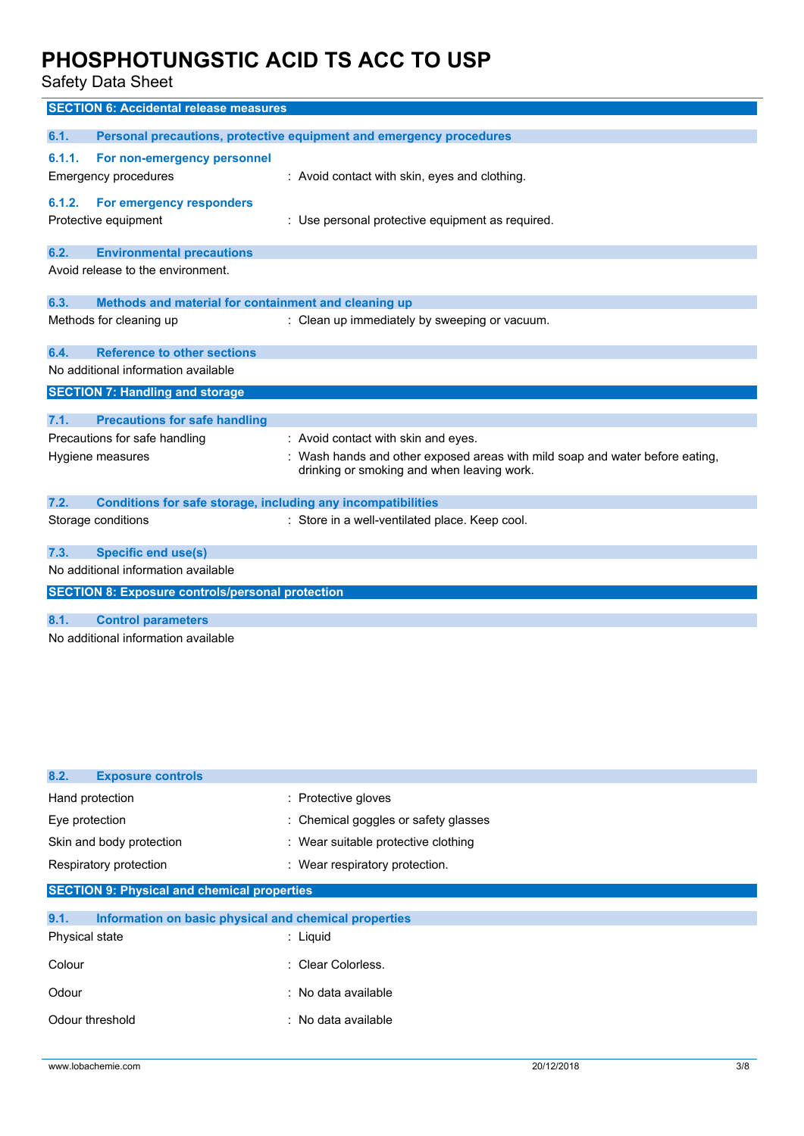Safety Data Sheet

|        | <b>SECTION 6: Accidental release measures</b>                       |                                                                                                                            |
|--------|---------------------------------------------------------------------|----------------------------------------------------------------------------------------------------------------------------|
|        |                                                                     |                                                                                                                            |
| 6.1.   |                                                                     | Personal precautions, protective equipment and emergency procedures                                                        |
| 6.1.1. | For non-emergency personnel                                         |                                                                                                                            |
|        | <b>Emergency procedures</b>                                         | : Avoid contact with skin, eyes and clothing.                                                                              |
| 6.1.2. | For emergency responders                                            |                                                                                                                            |
|        | Protective equipment                                                | : Use personal protective equipment as required.                                                                           |
|        |                                                                     |                                                                                                                            |
| 6.2.   | <b>Environmental precautions</b>                                    |                                                                                                                            |
|        | Avoid release to the environment.                                   |                                                                                                                            |
|        |                                                                     |                                                                                                                            |
| 6.3.   | Methods and material for containment and cleaning up                |                                                                                                                            |
|        | Methods for cleaning up                                             | : Clean up immediately by sweeping or vacuum.                                                                              |
| 6.4.   | <b>Reference to other sections</b>                                  |                                                                                                                            |
|        | No additional information available                                 |                                                                                                                            |
|        | <b>SECTION 7: Handling and storage</b>                              |                                                                                                                            |
|        |                                                                     |                                                                                                                            |
| 7.1.   | <b>Precautions for safe handling</b>                                |                                                                                                                            |
|        | Precautions for safe handling                                       | : Avoid contact with skin and eyes.                                                                                        |
|        | Hygiene measures                                                    | : Wash hands and other exposed areas with mild soap and water before eating,<br>drinking or smoking and when leaving work. |
|        |                                                                     |                                                                                                                            |
| 7.2.   | <b>Conditions for safe storage, including any incompatibilities</b> |                                                                                                                            |
|        | Storage conditions                                                  | : Store in a well-ventilated place. Keep cool.                                                                             |
|        |                                                                     |                                                                                                                            |
| 7.3.   | <b>Specific end use(s)</b>                                          |                                                                                                                            |
|        | No additional information available                                 |                                                                                                                            |
|        | <b>SECTION 8: Exposure controls/personal protection</b>             |                                                                                                                            |
| 8.1.   | <b>Control parameters</b>                                           |                                                                                                                            |
|        | No additional information available                                 |                                                                                                                            |
|        |                                                                     |                                                                                                                            |

| 8.2.<br><b>Exposure controls</b>                              |                                      |  |
|---------------------------------------------------------------|--------------------------------------|--|
| Hand protection                                               | : Protective gloves                  |  |
| Eye protection                                                | : Chemical goggles or safety glasses |  |
| Skin and body protection                                      | : Wear suitable protective clothing  |  |
| Respiratory protection                                        | : Wear respiratory protection.       |  |
| <b>SECTION 9: Physical and chemical properties</b>            |                                      |  |
| Information on basic physical and chemical properties<br>9.1. |                                      |  |
| Physical state                                                | $:$ Liquid                           |  |
| Colour                                                        | : Clear Colorless.                   |  |
| Odour                                                         | : No data available                  |  |
| Odour threshold                                               | : No data available                  |  |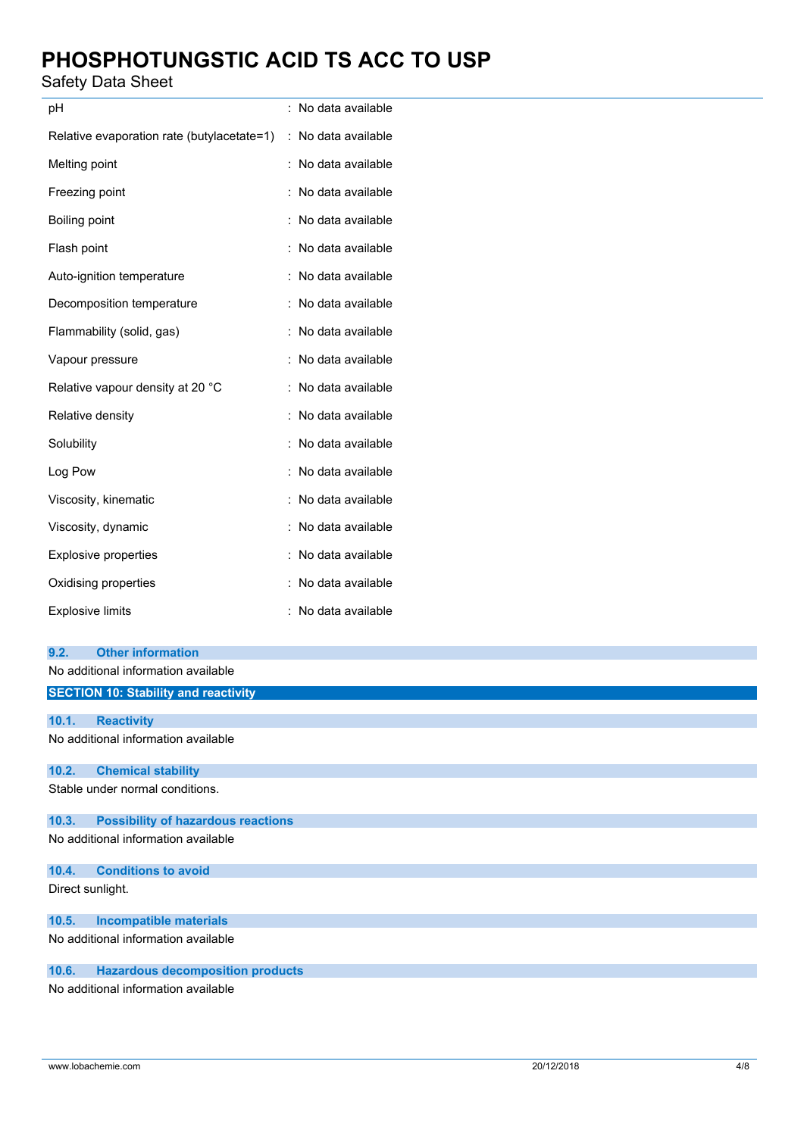## Safety Data Sheet

| pH                                         | No data available                         |
|--------------------------------------------|-------------------------------------------|
| Relative evaporation rate (butylacetate=1) | No data available<br>$\ddot{\phantom{a}}$ |
| Melting point                              | No data available                         |
| Freezing point                             | No data available                         |
| Boiling point                              | No data available                         |
| Flash point                                | No data available                         |
| Auto-ignition temperature                  | No data available                         |
| Decomposition temperature                  | No data available                         |
| Flammability (solid, gas)                  | No data available                         |
| Vapour pressure                            | No data available                         |
| Relative vapour density at 20 °C           | No data available                         |
| Relative density                           | No data available                         |
| Solubility                                 | No data available                         |
| Log Pow                                    | No data available                         |
| Viscosity, kinematic                       | No data available                         |
| Viscosity, dynamic                         | No data available                         |
| <b>Explosive properties</b>                | No data available                         |
| Oxidising properties                       | No data available                         |
| <b>Explosive limits</b>                    | No data available                         |

| 9.2.             | <b>Other information</b>                    |
|------------------|---------------------------------------------|
|                  | No additional information available         |
|                  | <b>SECTION 10: Stability and reactivity</b> |
|                  |                                             |
| 10.1.            | <b>Reactivity</b>                           |
|                  | No additional information available         |
| 10.2.            | <b>Chemical stability</b>                   |
|                  | Stable under normal conditions.             |
| 10.3.            | <b>Possibility of hazardous reactions</b>   |
|                  | No additional information available         |
| 10.4.            | <b>Conditions to avoid</b>                  |
| Direct sunlight. |                                             |
| 10.5.            | <b>Incompatible materials</b>               |
|                  | No additional information available         |
| 10.6.            | <b>Hazardous decomposition products</b>     |
|                  | No additional information available         |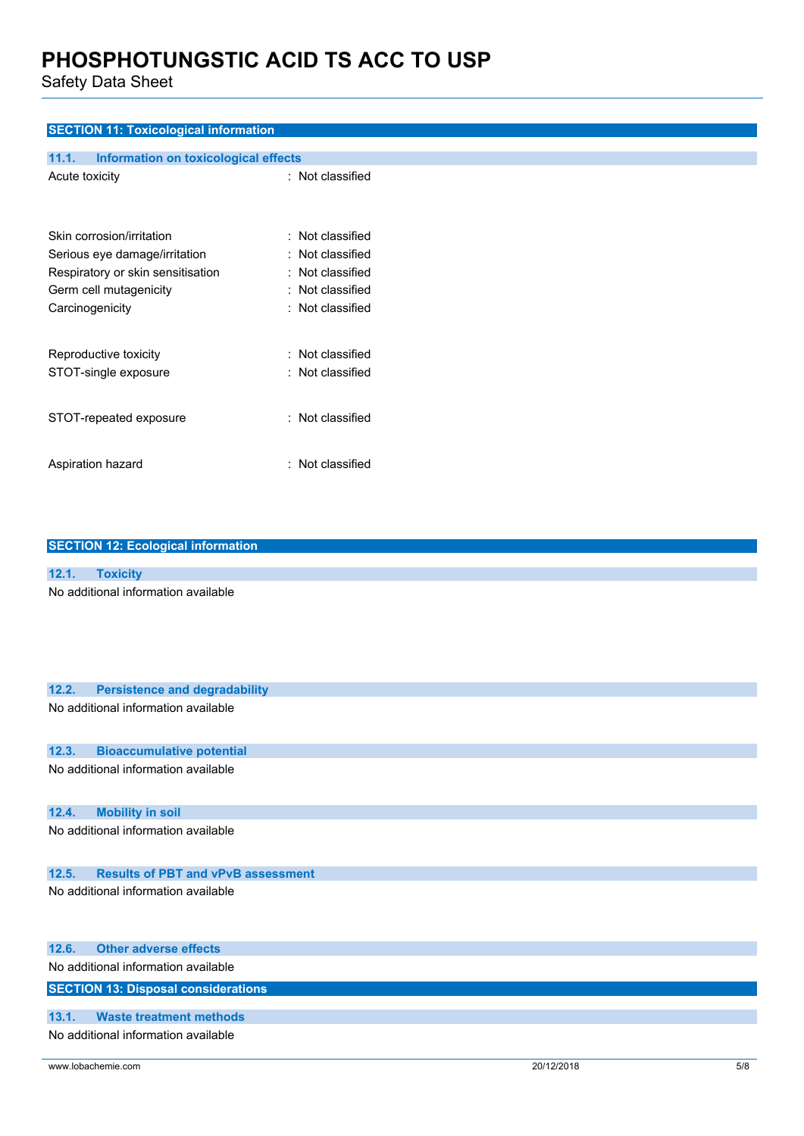Safety Data Sheet

## **SECTION 11: Toxicological information**

| 11.1.<br><b>Information on toxicological effects</b> |                         |
|------------------------------------------------------|-------------------------|
| Acute toxicity                                       | : Not classified        |
| Skin corrosion/irritation                            | : Not classified        |
| Serious eye damage/irritation                        | $\colon$ Not classified |
| Respiratory or skin sensitisation                    | : Not classified        |
| Germ cell mutagenicity                               | : Not classified        |
| Carcinogenicity                                      | : Not classified        |
| Reproductive toxicity                                | : Not classified        |
| STOT-single exposure                                 | : Not classified        |
| STOT-repeated exposure                               | : Not classified        |
| Aspiration hazard                                    | : Not classified        |

| <b>SECTION 12: Ecological information</b>          |
|----------------------------------------------------|
|                                                    |
| 12.1.<br><b>Toxicity</b>                           |
| No additional information available                |
|                                                    |
|                                                    |
|                                                    |
|                                                    |
|                                                    |
| 12.2.<br><b>Persistence and degradability</b>      |
| No additional information available                |
|                                                    |
|                                                    |
| <b>Bioaccumulative potential</b><br>12.3.          |
| No additional information available                |
|                                                    |
|                                                    |
| 12.4.<br><b>Mobility in soil</b>                   |
| No additional information available                |
|                                                    |
| <b>Results of PBT and vPvB assessment</b><br>12.5. |
| No additional information available                |
|                                                    |

|       | 12.6. Other adverse effects                |
|-------|--------------------------------------------|
|       | No additional information available        |
|       | <b>SECTION 13: Disposal considerations</b> |
|       |                                            |
| 13.1. | Waste treatment methods                    |
|       |                                            |

No additional information available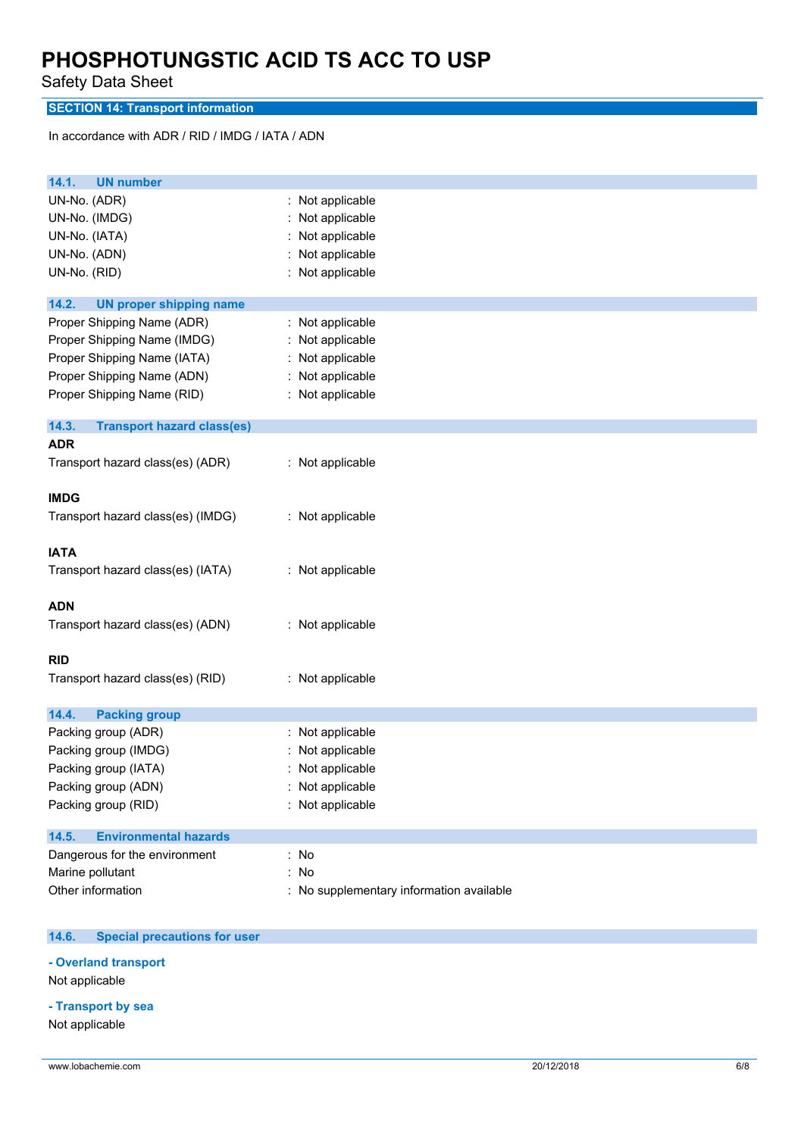Safety Data Sheet

**SECTION 14: Transport information**

In accordance with ADR / RID / IMDG / IATA / ADN

| 14.1.<br><b>UN number</b>                                                                                                                            |                                                                                                |
|------------------------------------------------------------------------------------------------------------------------------------------------------|------------------------------------------------------------------------------------------------|
| UN-No. (ADR)<br>UN-No. (IMDG)<br>UN-No. (IATA)<br>UN-No. (ADN)<br>UN-No. (RID)                                                                       | : Not applicable<br>Not applicable<br>Not applicable<br>Not applicable<br>: Not applicable     |
| 14.2.<br><b>UN proper shipping name</b>                                                                                                              |                                                                                                |
| Proper Shipping Name (ADR)<br>Proper Shipping Name (IMDG)<br>Proper Shipping Name (IATA)<br>Proper Shipping Name (ADN)<br>Proper Shipping Name (RID) | : Not applicable<br>Not applicable<br>: Not applicable<br>: Not applicable<br>: Not applicable |
| 14.3.<br><b>Transport hazard class(es)</b>                                                                                                           |                                                                                                |
| <b>ADR</b>                                                                                                                                           |                                                                                                |
| Transport hazard class(es) (ADR)                                                                                                                     | : Not applicable                                                                               |
| <b>IMDG</b>                                                                                                                                          |                                                                                                |
| Transport hazard class(es) (IMDG)                                                                                                                    | : Not applicable                                                                               |
| <b>IATA</b>                                                                                                                                          |                                                                                                |
| Transport hazard class(es) (IATA)                                                                                                                    | : Not applicable                                                                               |
| <b>ADN</b>                                                                                                                                           |                                                                                                |
| Transport hazard class(es) (ADN)                                                                                                                     | : Not applicable                                                                               |
| <b>RID</b>                                                                                                                                           |                                                                                                |
| Transport hazard class(es) (RID)                                                                                                                     | : Not applicable                                                                               |
| 14.4.<br><b>Packing group</b>                                                                                                                        |                                                                                                |
| Packing group (ADR)                                                                                                                                  | : Not applicable                                                                               |
| Packing group (IMDG)                                                                                                                                 | : Not applicable                                                                               |
| Packing group (IATA)                                                                                                                                 | Not applicable                                                                                 |
| Packing group (ADN)                                                                                                                                  | : Not applicable                                                                               |
| Packing group (RID)                                                                                                                                  | : Not applicable                                                                               |
| <b>Environmental hazards</b><br>14.5.                                                                                                                |                                                                                                |
| Dangerous for the environment                                                                                                                        | : No                                                                                           |
| Marine pollutant                                                                                                                                     | : No                                                                                           |
| Other information                                                                                                                                    | : No supplementary information available                                                       |

#### $14.6.$ **14.6. Special precautions for user**

**- Overland transport**

Not applicable

## **- Transport by sea**

Not applicable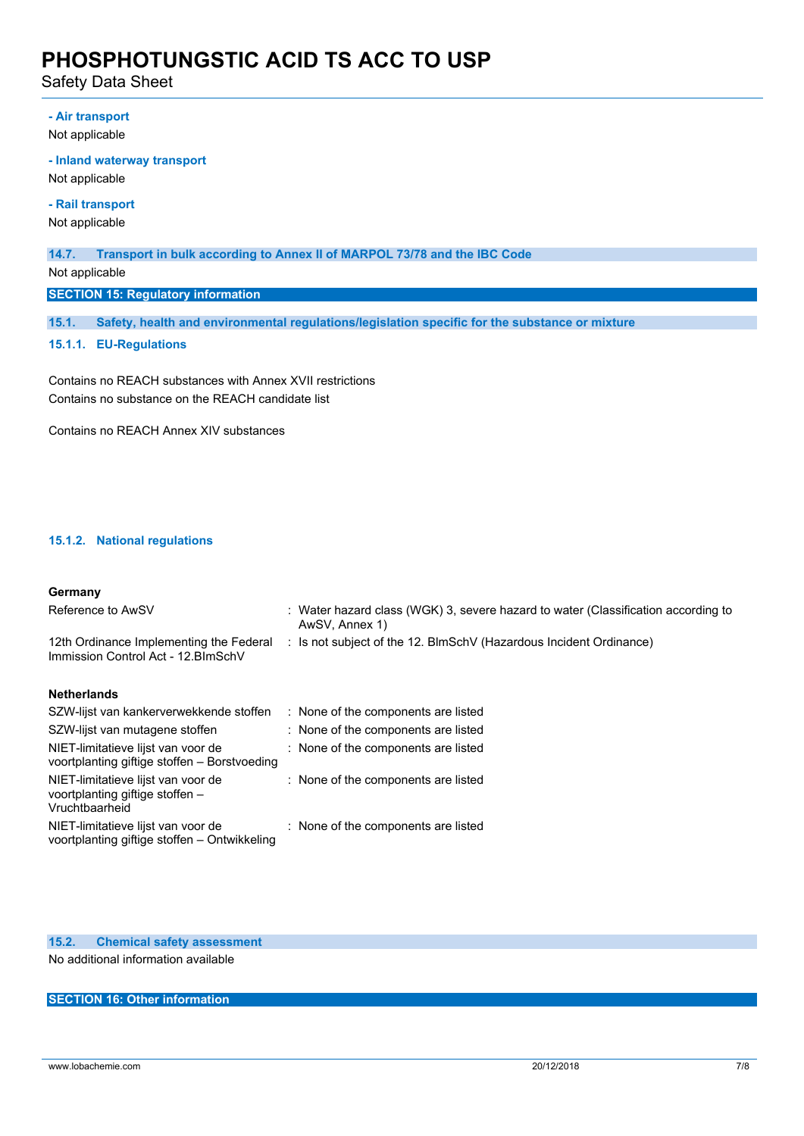Safety Data Sheet

## **- Air transport**

Not applicable

### **- Inland waterway transport**

Not applicable

## **- Rail transport**

Not applicable

### **14.7. Transport in bulk according to Annex II of MARPOL 73/78 and the IBC Code**

Not applicable

**SECTION 15: Regulatory information**

**15.1. Safety, health and environmental regulations/legislation specific for the substance or mixture**

### **15.1.1. EU-Regulations**

Contains no REACH substances with Annex XVII restrictions Contains no substance on the REACH candidate list

Contains no REACH Annex XIV substances

## **15.1.2. National regulations**

### **Germany**

| Reference to AwSV                                                                       | : Water hazard class (WGK) 3, severe hazard to water (Classification according to<br>AwSV, Annex 1) |
|-----------------------------------------------------------------------------------------|-----------------------------------------------------------------------------------------------------|
| 12th Ordinance Implementing the Federal<br>Immission Control Act - 12. BlmSchV          | : Is not subject of the 12. BlmSchV (Hazardous Incident Ordinance)                                  |
| <b>Netherlands</b>                                                                      |                                                                                                     |
| SZW-lijst van kankerverwekkende stoffen                                                 | : None of the components are listed                                                                 |
| SZW-lijst van mutagene stoffen                                                          | : None of the components are listed                                                                 |
| NIET-limitatieve lijst van voor de<br>voortplanting giftige stoffen - Borstvoeding      | : None of the components are listed                                                                 |
| NIET-limitatieve lijst van voor de<br>voortplanting giftige stoffen -<br>Vruchtbaarheid | : None of the components are listed                                                                 |
| NIET-limitatieve lijst van voor de<br>voortplanting giftige stoffen - Ontwikkeling      | : None of the components are listed                                                                 |

## **15.2. Chemical safety assessment**

No additional information available

## **SECTION 16: Other information**